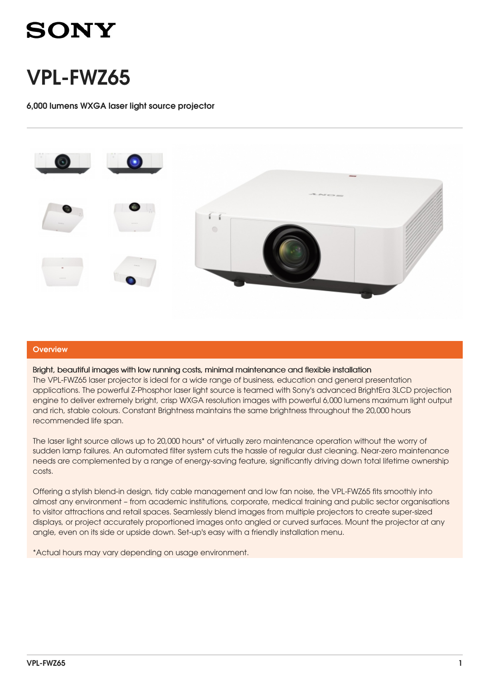# **SONY**

# VPL-FWZ65

6,000 lumens WXGA laser light source projector



## **Overview**

### Bright, beautiful images with low running costs, minimal maintenance and flexible installation

The VPL-FWZ65 laser projector is ideal for a wide range of business, education and general presentation applications. The powerful Z-Phosphor laser light source is teamed with Sony's advanced BrightEra 3LCD projection engine to deliver extremely bright, crisp WXGA resolution images with powerful 6,000 lumens maximum light output and rich, stable colours. Constant Brightness maintains the same brightness throughout the 20,000 hours recommended life span.

The laser light source allows up to 20,000 hours\* of virtually zero maintenance operation without the worry of sudden lamp failures. An automated filter system cuts the hassle of regular dust cleaning. Near-zero maintenance needs are complemented by a range of energy-saving feature, significantly driving down total lifetime ownership costs.

Offering a stylish blend-in design, tidy cable management and low fan noise, the VPL-FWZ65 fits smoothly into almost any environment – from academic institutions, corporate, medical training and public sector organisations to visitor attractions and retail spaces. Seamlessly blend images from multiple projectors to create super-sized displays, or project accurately proportioned images onto angled or curved surfaces. Mount the projector at any angle, even on its side or upside down. Set-up's easy with a friendly installation menu.

\*Actual hours may vary depending on usage environment.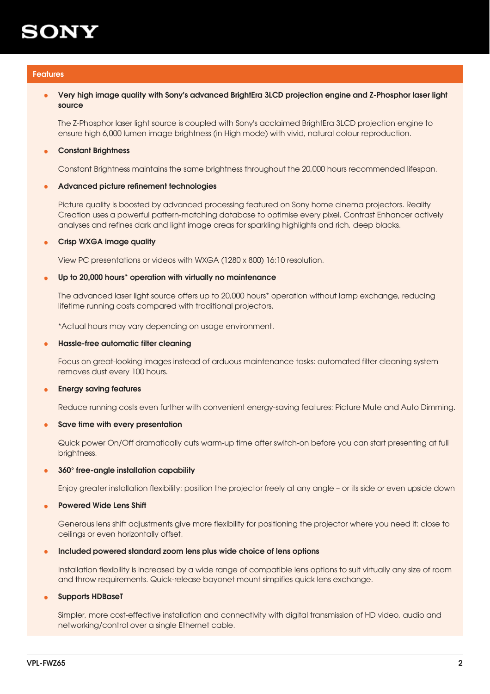

### Features

### Very high image quality with Sony's advanced BrightEra 3LCD projection engine and Z-Phosphor laser light source •

The Z-Phosphor laser light source is coupled with Sony's acclaimed BrightEra 3LCD projection engine to ensure high 6,000 lumen image brightness (in High mode) with vivid, natural colour reproduction.

#### **Constant Brightness** •

Constant Brightness maintains the same brightness throughout the 20,000 hours recommended lifespan.

#### Advanced picture refinement technologies •

Picture quality is boosted by advanced processing featured on Sony home cinema projectors. Reality Creation uses a powerful pattern-matching database to optimise every pixel. Contrast Enhancer actively analyses and refines dark and light image areas for sparkling highlights and rich, deep blacks.

#### Crisp WXGA image quality •

View PC presentations or videos with WXGA (1280 x 800) 16:10 resolution.

#### Up to 20,000 hours\* operation with virtually no maintenance •

The advanced laser light source offers up to 20,000 hours\* operation without lamp exchange, reducing lifetime running costs compared with traditional projectors.

\*Actual hours may vary depending on usage environment.

#### Hassle-free automatic filter cleaning •

Focus on great-looking images instead of arduous maintenance tasks: automated filter cleaning system removes dust every 100 hours.

#### Energy saving features •

Reduce running costs even further with convenient energy-saving features: Picture Mute and Auto Dimming.

#### Save time with every presentation •

Quick power On/Off dramatically cuts warm-up time after switch-on before you can start presenting at full brightness.

#### 360° free-angle installation capability •

Enjoy greater installation flexibility: position the projector freely at any angle – or its side or even upside down

#### Powered Wide Lens Shift •

Generous lens shift adjustments give more flexibility for positioning the projector where you need it: close to ceilings or even horizontally offset.

#### Included powered standard zoom lens plus wide choice of lens options •

Installation flexibility is increased by a wide range of compatible lens options to suit virtually any size of room and throw requirements. Quick-release bayonet mount simpifies quick lens exchange.

#### Supports HDBaseT •

Simpler, more cost-effective installation and connectivity with digital transmission of HD video, audio and networking/control over a single Ethernet cable.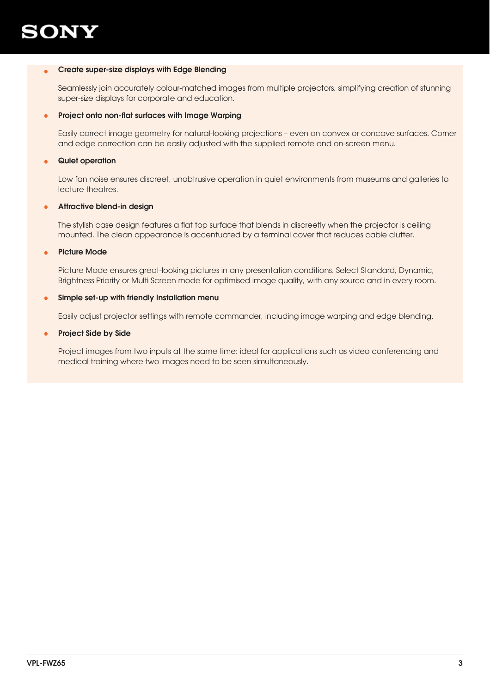

### Create super-size displays with Edge Blending •

Seamlessly join accurately colour-matched images from multiple projectors, simplifying creation of stunning super-size displays for corporate and education.

#### Project onto non-flat surfaces with Image Warping •

Easily correct image geometry for natural-looking projections – even on convex or concave surfaces. Corner and edge correction can be easily adjusted with the supplied remote and on-screen menu.

#### Quiet operation •

Low fan noise ensures discreet, unobtrusive operation in quiet environments from museums and galleries to lecture theatres.

#### Attractive blend-in design •

The stylish case design features a flat top surface that blends in discreetly when the projector is ceiling mounted. The clean appearance is accentuated by a terminal cover that reduces cable clutter.

#### Picture Mode •

Picture Mode ensures great-looking pictures in any presentation conditions. Select Standard, Dynamic, Brightness Priority or Multi Screen mode for optimised image quality, with any source and in every room.

#### Simple set-up with friendly Installation menu •

Easily adjust projector settings with remote commander, including image warping and edge blending.

#### Project Side by Side •

Project images from two inputs at the same time: ideal for applications such as video conferencing and medical training where two images need to be seen simultaneously.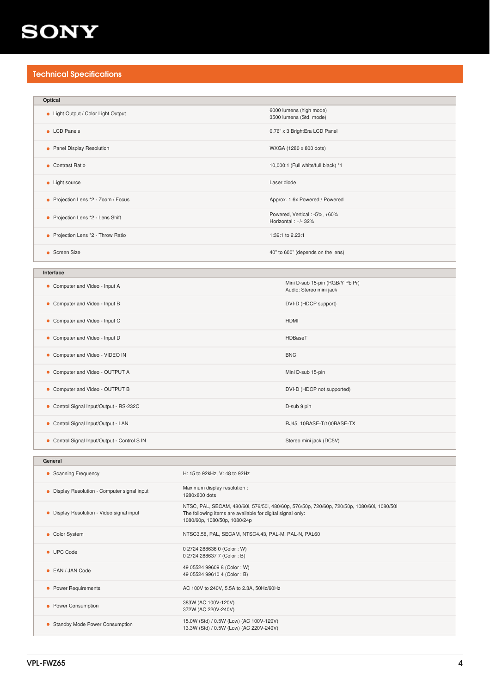## **SONY**

## Technical Specifications

| Optical                             |                                                       |
|-------------------------------------|-------------------------------------------------------|
| • Light Output / Color Light Output | 6000 lumens (high mode)<br>3500 lumens (Std. mode)    |
| • LCD Panels                        | 0.76" x 3 BrightEra LCD Panel                         |
| • Panel Display Resolution          | WXGA (1280 x 800 dots)                                |
| • Contrast Ratio                    | 10,000:1 (Full white/full black) *1                   |
| • Light source                      | Laser diode                                           |
| • Projection Lens *2 - Zoom / Focus | Approx. 1.6x Powered / Powered                        |
| • Projection Lens *2 - Lens Shift   | Powered, Vertical : -5%, +60%<br>Horizontal : +/- 32% |
| • Projection Lens *2 - Throw Ratio  | 1:39:1 to 2.23:1                                      |
| • Screen Size                       | 40" to 600" (depends on the lens)                     |

| Interface |
|-----------|
|           |

| • Computer and Video - Input A               | Mini D-sub 15-pin (RGB/Y Pb Pr)<br>Audio: Stereo mini jack |
|----------------------------------------------|------------------------------------------------------------|
| • Computer and Video - Input B               | DVI-D (HDCP support)                                       |
| • Computer and Video - Input C               | <b>HDMI</b>                                                |
| • Computer and Video - Input D               | HDBaseT                                                    |
| • Computer and Video - VIDEO IN              | <b>BNC</b>                                                 |
| • Computer and Video - OUTPUT A              | Mini D-sub 15-pin                                          |
| • Computer and Video - OUTPUT B              | DVI-D (HDCP not supported)                                 |
| • Control Signal Input/Output - RS-232C      | D-sub 9 pin                                                |
| • Control Signal Input/Output - LAN          | RJ45, 10BASE-T/100BASE-TX                                  |
| • Control Signal Input/Output - Control S IN | Stereo mini jack (DC5V)                                    |

| General                                    |                                                                                                                                                                                          |  |
|--------------------------------------------|------------------------------------------------------------------------------------------------------------------------------------------------------------------------------------------|--|
| • Scanning Frequency                       | H: 15 to 92kHz, V: 48 to 92Hz                                                                                                                                                            |  |
| Display Resolution - Computer signal input | Maximum display resolution :<br>1280x800 dots                                                                                                                                            |  |
| Display Resolution - Video signal input    | NTSC, PAL, SECAM, 480/60i, 576/50i, 480/60p, 576/50p, 720/60p, 720/50p, 1080/60i, 1080/50i<br>The following items are available for digital signal only:<br>1080/60p, 1080/50p, 1080/24p |  |
| • Color System                             | NTSC3.58, PAL, SECAM, NTSC4.43, PAL-M, PAL-N, PAL60                                                                                                                                      |  |
| • UPC Code                                 | 0 2724 288636 0 (Color: W)<br>0 2724 288637 7 (Color: B)                                                                                                                                 |  |
| • EAN / JAN Code                           | 49 05524 99609 8 (Color: W)<br>49 05524 99610 4 (Color: B)                                                                                                                               |  |
| • Power Requirements                       | AC 100V to 240V, 5.5A to 2.3A, 50Hz/60Hz                                                                                                                                                 |  |
| Power Consumption                          | 383W (AC 100V-120V)<br>372W (AC 220V-240V)                                                                                                                                               |  |
| <b>Standby Mode Power Consumption</b>      | 15.0W (Std) / 0.5W (Low) (AC 100V-120V)<br>13.3W (Std) / 0.5W (Low) (AC 220V-240V)                                                                                                       |  |
|                                            |                                                                                                                                                                                          |  |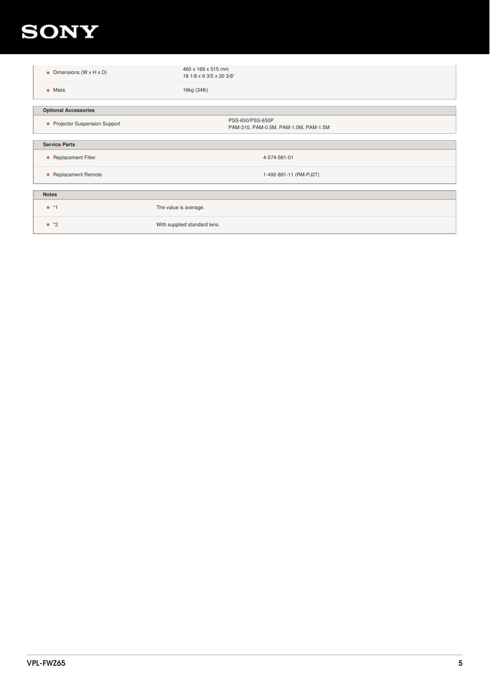## **SONY**

| • Dimensions $(W \times H \times D)$ | 460 x 169 x 515 mm<br>18 1/8 x 6 3/5 x 20 3/8"            |
|--------------------------------------|-----------------------------------------------------------|
| $\bullet$ Mass                       | 16kg (34lb)                                               |
|                                      |                                                           |
| <b>Optional Accessories</b>          |                                                           |
| • Projector Suspension Support       | PSS-650/PSS-650P<br>PAM-310, PAM-0.5M, PAM-1.0M, PAM-1.5M |
|                                      |                                                           |
| <b>Service Parts</b>                 |                                                           |
| • Replacement Filter                 | 4-574-581-01                                              |
| • Replacement Remote                 | 1-492-891-11 (RM-PJ27)                                    |
|                                      |                                                           |
| <b>Notes</b>                         |                                                           |
| $\bullet$ *1                         | The value is average.                                     |
| $^*2$                                | With supplied standard lens.                              |